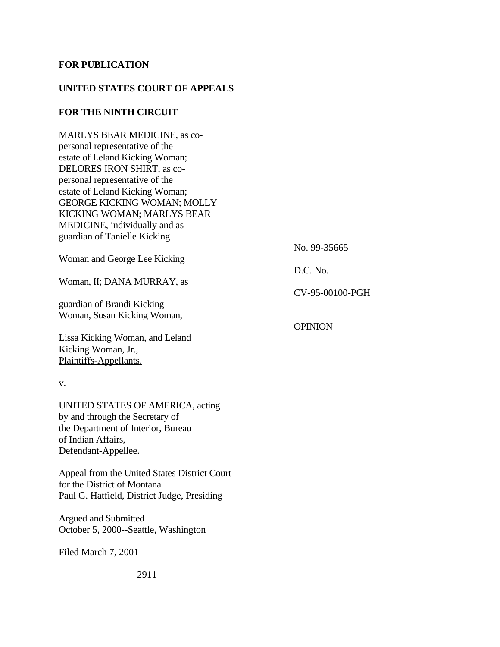## **FOR PUBLICATION**

## **UNITED STATES COURT OF APPEALS**

## **FOR THE NINTH CIRCUIT**

MARLYS BEAR MEDICINE, as copersonal representative of the estate of Leland Kicking Woman; DELORES IRON SHIRT, as copersonal representative of the estate of Leland Kicking Woman; GEORGE KICKING WOMAN; MOLLY KICKING WOMAN; MARLYS BEAR MEDICINE, individually and as guardian of Tanielle Kicking

No. 99-35665

Woman and George Lee Kicking

Woman, II; DANA MURRAY, as

guardian of Brandi Kicking Woman, Susan Kicking Woman,

Lissa Kicking Woman, and Leland Kicking Woman, Jr., Plaintiffs-Appellants,

#### v.

UNITED STATES OF AMERICA, acting by and through the Secretary of the Department of Interior, Bureau of Indian Affairs, Defendant-Appellee.

Appeal from the United States District Court for the District of Montana Paul G. Hatfield, District Judge, Presiding

Argued and Submitted October 5, 2000--Seattle, Washington

Filed March 7, 2001

D.C. No.

CV-95-00100-PGH

**OPINION**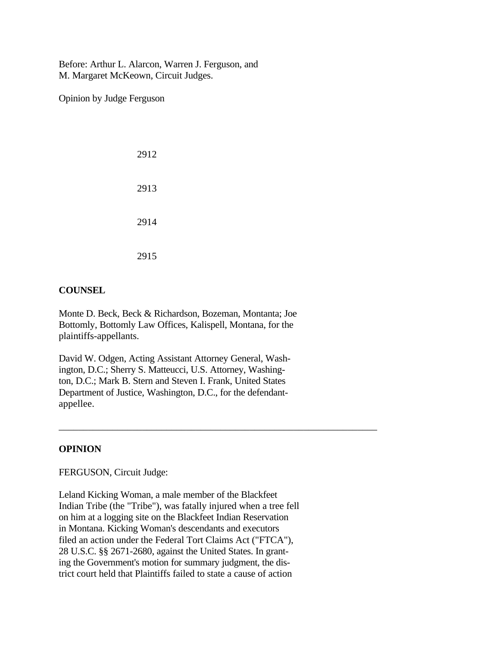Before: Arthur L. Alarcon, Warren J. Ferguson, and M. Margaret McKeown, Circuit Judges.

Opinion by Judge Ferguson

| 2912 |
|------|
| 2913 |
| 2914 |
| 2915 |

## **COUNSEL**

Monte D. Beck, Beck & Richardson, Bozeman, Montanta; Joe Bottomly, Bottomly Law Offices, Kalispell, Montana, for the plaintiffs-appellants.

David W. Odgen, Acting Assistant Attorney General, Washington, D.C.; Sherry S. Matteucci, U.S. Attorney, Washington, D.C.; Mark B. Stern and Steven I. Frank, United States Department of Justice, Washington, D.C., for the defendantappellee.

\_\_\_\_\_\_\_\_\_\_\_\_\_\_\_\_\_\_\_\_\_\_\_\_\_\_\_\_\_\_\_\_\_\_\_\_\_\_\_\_\_\_\_\_\_\_\_\_\_\_\_\_\_\_\_\_\_\_\_\_\_\_\_\_\_

## **OPINION**

## FERGUSON, Circuit Judge:

Leland Kicking Woman, a male member of the Blackfeet Indian Tribe (the "Tribe"), was fatally injured when a tree fell on him at a logging site on the Blackfeet Indian Reservation in Montana. Kicking Woman's descendants and executors filed an action under the Federal Tort Claims Act ("FTCA"), 28 U.S.C. §§ 2671-2680, against the United States. In granting the Government's motion for summary judgment, the district court held that Plaintiffs failed to state a cause of action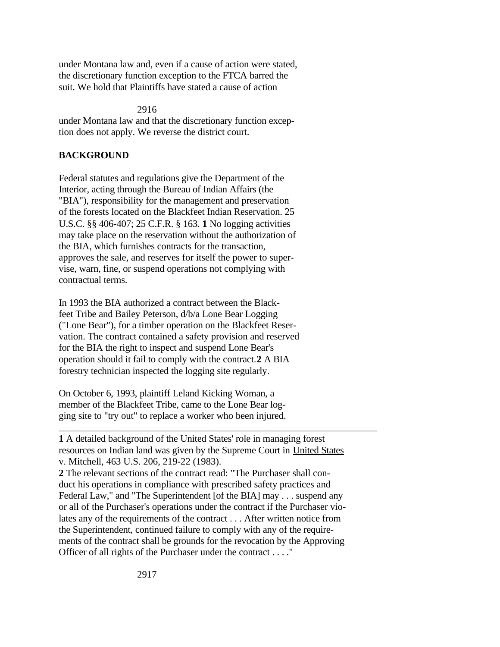under Montana law and, even if a cause of action were stated, the discretionary function exception to the FTCA barred the suit. We hold that Plaintiffs have stated a cause of action

## 2916

under Montana law and that the discretionary function exception does not apply. We reverse the district court.

# **BACKGROUND**

Federal statutes and regulations give the Department of the Interior, acting through the Bureau of Indian Affairs (the "BIA"), responsibility for the management and preservation of the forests located on the Blackfeet Indian Reservation. 25 U.S.C. §§ 406-407; 25 C.F.R. § 163. **1** No logging activities may take place on the reservation without the authorization of the BIA, which furnishes contracts for the transaction, approves the sale, and reserves for itself the power to supervise, warn, fine, or suspend operations not complying with contractual terms.

In 1993 the BIA authorized a contract between the Blackfeet Tribe and Bailey Peterson, d/b/a Lone Bear Logging ("Lone Bear"), for a timber operation on the Blackfeet Reservation. The contract contained a safety provision and reserved for the BIA the right to inspect and suspend Lone Bear's operation should it fail to comply with the contract.**2** A BIA forestry technician inspected the logging site regularly.

On October 6, 1993, plaintiff Leland Kicking Woman, a member of the Blackfeet Tribe, came to the Lone Bear logging site to "try out" to replace a worker who been injured.

**1** A detailed background of the United States' role in managing forest resources on Indian land was given by the Supreme Court in United States v. Mitchell, 463 U.S. 206, 219-22 (1983).

\_\_\_\_\_\_\_\_\_\_\_\_\_\_\_\_\_\_\_\_\_\_\_\_\_\_\_\_\_\_\_\_\_\_\_\_\_\_\_\_\_\_\_\_\_\_\_\_\_\_\_\_\_\_\_\_\_\_\_\_\_\_\_\_\_

**2** The relevant sections of the contract read: "The Purchaser shall conduct his operations in compliance with prescribed safety practices and Federal Law," and "The Superintendent [of the BIA] may . . . suspend any or all of the Purchaser's operations under the contract if the Purchaser violates any of the requirements of the contract . . . After written notice from the Superintendent, continued failure to comply with any of the requirements of the contract shall be grounds for the revocation by the Approving Officer of all rights of the Purchaser under the contract . . . ."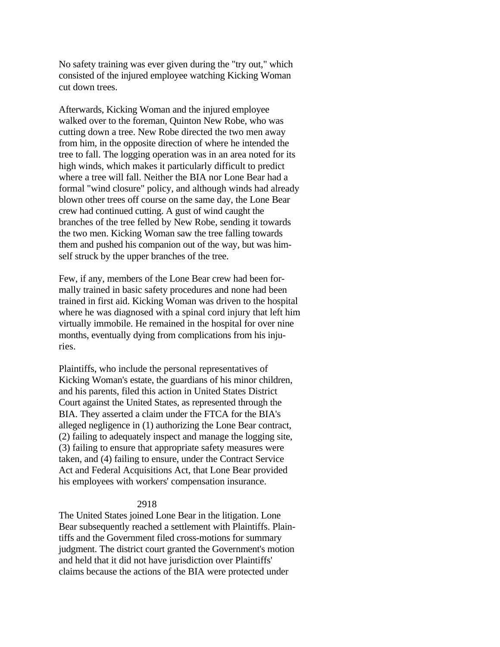No safety training was ever given during the "try out," which consisted of the injured employee watching Kicking Woman cut down trees.

Afterwards, Kicking Woman and the injured employee walked over to the foreman, Quinton New Robe, who was cutting down a tree. New Robe directed the two men away from him, in the opposite direction of where he intended the tree to fall. The logging operation was in an area noted for its high winds, which makes it particularly difficult to predict where a tree will fall. Neither the BIA nor Lone Bear had a formal "wind closure" policy, and although winds had already blown other trees off course on the same day, the Lone Bear crew had continued cutting. A gust of wind caught the branches of the tree felled by New Robe, sending it towards the two men. Kicking Woman saw the tree falling towards them and pushed his companion out of the way, but was himself struck by the upper branches of the tree.

Few, if any, members of the Lone Bear crew had been formally trained in basic safety procedures and none had been trained in first aid. Kicking Woman was driven to the hospital where he was diagnosed with a spinal cord injury that left him virtually immobile. He remained in the hospital for over nine months, eventually dying from complications from his injuries.

Plaintiffs, who include the personal representatives of Kicking Woman's estate, the guardians of his minor children, and his parents, filed this action in United States District Court against the United States, as represented through the BIA. They asserted a claim under the FTCA for the BIA's alleged negligence in (1) authorizing the Lone Bear contract, (2) failing to adequately inspect and manage the logging site, (3) failing to ensure that appropriate safety measures were taken, and (4) failing to ensure, under the Contract Service Act and Federal Acquisitions Act, that Lone Bear provided his employees with workers' compensation insurance.

### 2918

The United States joined Lone Bear in the litigation. Lone Bear subsequently reached a settlement with Plaintiffs. Plaintiffs and the Government filed cross-motions for summary judgment. The district court granted the Government's motion and held that it did not have jurisdiction over Plaintiffs' claims because the actions of the BIA were protected under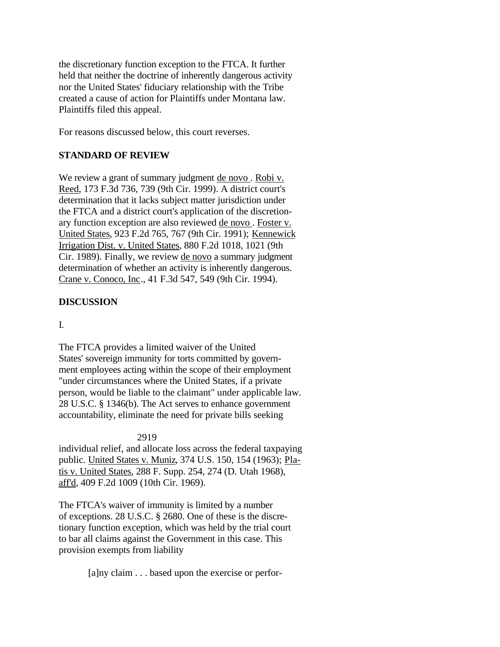the discretionary function exception to the FTCA. It further held that neither the doctrine of inherently dangerous activity nor the United States' fiduciary relationship with the Tribe created a cause of action for Plaintiffs under Montana law. Plaintiffs filed this appeal.

For reasons discussed below, this court reverses.

# **STANDARD OF REVIEW**

We review a grant of summary judgment de novo. Robi v. Reed, 173 F.3d 736, 739 (9th Cir. 1999). A district court's determination that it lacks subject matter jurisdiction under the FTCA and a district court's application of the discretionary function exception are also reviewed de novo . Foster v. United States, 923 F.2d 765, 767 (9th Cir. 1991); Kennewick Irrigation Dist. v. United States, 880 F.2d 1018, 1021 (9th Cir. 1989). Finally, we review de novo a summary judgment determination of whether an activity is inherently dangerous. Crane v. Conoco, Inc., 41 F.3d 547, 549 (9th Cir. 1994).

## **DISCUSSION**

## I.

The FTCA provides a limited waiver of the United States' sovereign immunity for torts committed by government employees acting within the scope of their employment "under circumstances where the United States, if a private person, would be liable to the claimant" under applicable law. 28 U.S.C. § 1346(b). The Act serves to enhance government accountability, eliminate the need for private bills seeking

## 2919

individual relief, and allocate loss across the federal taxpaying public. United States v. Muniz, 374 U.S. 150, 154 (1963); Platis v. United States, 288 F. Supp. 254, 274 (D. Utah 1968), aff'd, 409 F.2d 1009 (10th Cir. 1969).

The FTCA's waiver of immunity is limited by a number of exceptions. 28 U.S.C. § 2680. One of these is the discretionary function exception, which was held by the trial court to bar all claims against the Government in this case. This provision exempts from liability

[a]ny claim . . . based upon the exercise or perfor-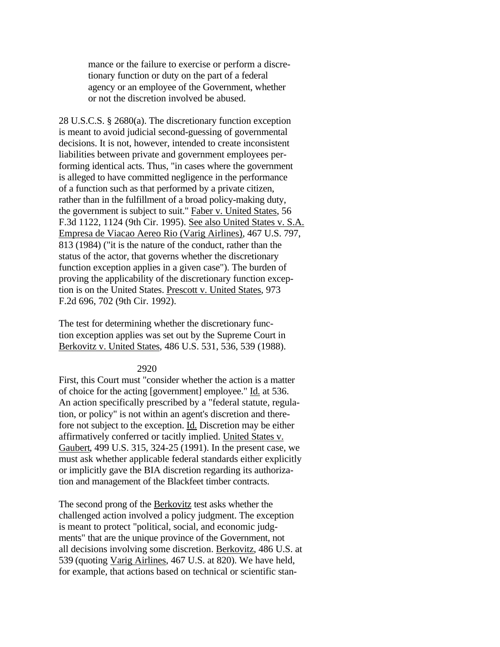mance or the failure to exercise or perform a discretionary function or duty on the part of a federal agency or an employee of the Government, whether or not the discretion involved be abused.

28 U.S.C.S. § 2680(a). The discretionary function exception is meant to avoid judicial second-guessing of governmental decisions. It is not, however, intended to create inconsistent liabilities between private and government employees performing identical acts. Thus, "in cases where the government is alleged to have committed negligence in the performance of a function such as that performed by a private citizen, rather than in the fulfillment of a broad policy-making duty, the government is subject to suit." Faber v. United States, 56 F.3d 1122, 1124 (9th Cir. 1995). See also United States v. S.A. Empresa de Viacao Aereo Rio (Varig Airlines), 467 U.S. 797, 813 (1984) ("it is the nature of the conduct, rather than the status of the actor, that governs whether the discretionary function exception applies in a given case"). The burden of proving the applicability of the discretionary function exception is on the United States. Prescott v. United States, 973 F.2d 696, 702 (9th Cir. 1992).

The test for determining whether the discretionary function exception applies was set out by the Supreme Court in Berkovitz v. United States, 486 U.S. 531, 536, 539 (1988).

#### 2920

First, this Court must "consider whether the action is a matter of choice for the acting [government] employee." Id. at 536. An action specifically prescribed by a "federal statute, regulation, or policy" is not within an agent's discretion and therefore not subject to the exception. Id. Discretion may be either affirmatively conferred or tacitly implied. United States v. Gaubert, 499 U.S. 315, 324-25 (1991). In the present case, we must ask whether applicable federal standards either explicitly or implicitly gave the BIA discretion regarding its authorization and management of the Blackfeet timber contracts.

The second prong of the Berkovitz test asks whether the challenged action involved a policy judgment. The exception is meant to protect "political, social, and economic judgments" that are the unique province of the Government, not all decisions involving some discretion. Berkovitz, 486 U.S. at 539 (quoting Varig Airlines, 467 U.S. at 820). We have held, for example, that actions based on technical or scientific stan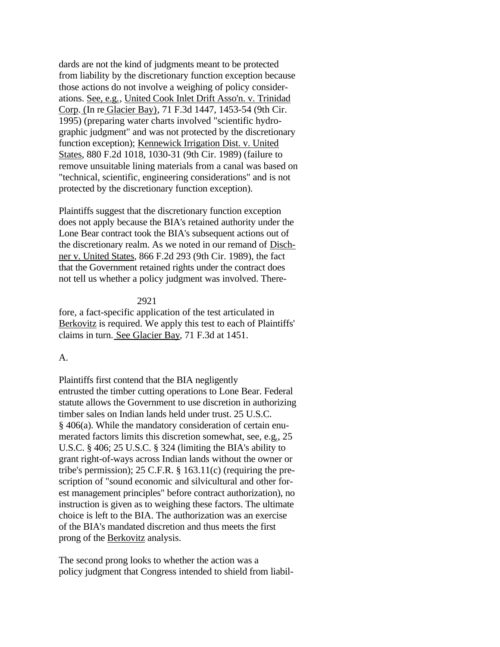dards are not the kind of judgments meant to be protected from liability by the discretionary function exception because those actions do not involve a weighing of policy considerations. See, e.g., United Cook Inlet Drift Asso'n. v. Trinidad Corp. (In re Glacier Bay), 71 F.3d 1447, 1453-54 (9th Cir. 1995) (preparing water charts involved "scientific hydrographic judgment" and was not protected by the discretionary function exception); Kennewick Irrigation Dist. v. United States, 880 F.2d 1018, 1030-31 (9th Cir. 1989) (failure to remove unsuitable lining materials from a canal was based on "technical, scientific, engineering considerations" and is not protected by the discretionary function exception).

Plaintiffs suggest that the discretionary function exception does not apply because the BIA's retained authority under the Lone Bear contract took the BIA's subsequent actions out of the discretionary realm. As we noted in our remand of Dischner v. United States, 866 F.2d 293 (9th Cir. 1989), the fact that the Government retained rights under the contract does not tell us whether a policy judgment was involved. There-

### 2921

fore, a fact-specific application of the test articulated in Berkovitz is required. We apply this test to each of Plaintiffs' claims in turn. See Glacier Bay, 71 F.3d at 1451.

### A.

Plaintiffs first contend that the BIA negligently entrusted the timber cutting operations to Lone Bear. Federal statute allows the Government to use discretion in authorizing timber sales on Indian lands held under trust. 25 U.S.C. § 406(a). While the mandatory consideration of certain enumerated factors limits this discretion somewhat, see, e.g., 25 U.S.C. § 406; 25 U.S.C. § 324 (limiting the BIA's ability to grant right-of-ways across Indian lands without the owner or tribe's permission); 25 C.F.R. § 163.11(c) (requiring the prescription of "sound economic and silvicultural and other forest management principles" before contract authorization), no instruction is given as to weighing these factors. The ultimate choice is left to the BIA. The authorization was an exercise of the BIA's mandated discretion and thus meets the first prong of the Berkovitz analysis.

The second prong looks to whether the action was a policy judgment that Congress intended to shield from liabil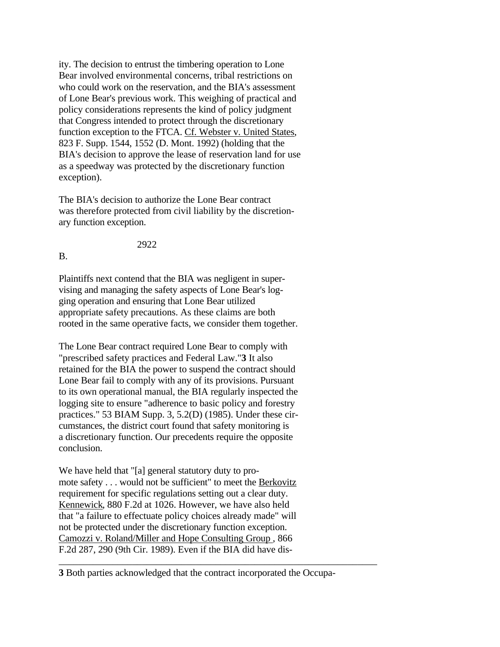ity. The decision to entrust the timbering operation to Lone Bear involved environmental concerns, tribal restrictions on who could work on the reservation, and the BIA's assessment of Lone Bear's previous work. This weighing of practical and policy considerations represents the kind of policy judgment that Congress intended to protect through the discretionary function exception to the FTCA. Cf. Webster v. United States, 823 F. Supp. 1544, 1552 (D. Mont. 1992) (holding that the BIA's decision to approve the lease of reservation land for use as a speedway was protected by the discretionary function exception).

The BIA's decision to authorize the Lone Bear contract was therefore protected from civil liability by the discretionary function exception.

2922

B.

Plaintiffs next contend that the BIA was negligent in supervising and managing the safety aspects of Lone Bear's logging operation and ensuring that Lone Bear utilized appropriate safety precautions. As these claims are both rooted in the same operative facts, we consider them together.

The Lone Bear contract required Lone Bear to comply with "prescribed safety practices and Federal Law."**3** It also retained for the BIA the power to suspend the contract should Lone Bear fail to comply with any of its provisions. Pursuant to its own operational manual, the BIA regularly inspected the logging site to ensure "adherence to basic policy and forestry practices." 53 BIAM Supp. 3, 5.2(D) (1985). Under these circumstances, the district court found that safety monitoring is a discretionary function. Our precedents require the opposite conclusion.

We have held that "[a] general statutory duty to promote safety . . . would not be sufficient" to meet the Berkovitz requirement for specific regulations setting out a clear duty. Kennewick, 880 F.2d at 1026. However, we have also held that "a failure to effectuate policy choices already made" will not be protected under the discretionary function exception. Camozzi v. Roland/Miller and Hope Consulting Group , 866 F.2d 287, 290 (9th Cir. 1989). Even if the BIA did have dis-

**3** Both parties acknowledged that the contract incorporated the Occupa-

\_\_\_\_\_\_\_\_\_\_\_\_\_\_\_\_\_\_\_\_\_\_\_\_\_\_\_\_\_\_\_\_\_\_\_\_\_\_\_\_\_\_\_\_\_\_\_\_\_\_\_\_\_\_\_\_\_\_\_\_\_\_\_\_\_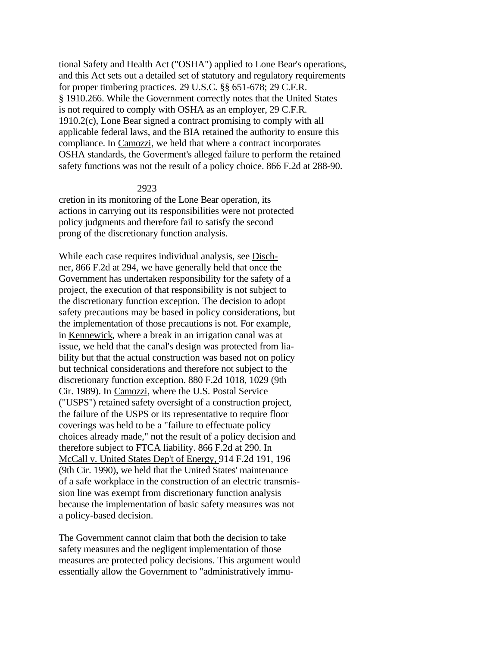tional Safety and Health Act ("OSHA") applied to Lone Bear's operations, and this Act sets out a detailed set of statutory and regulatory requirements for proper timbering practices. 29 U.S.C. §§ 651-678; 29 C.F.R. § 1910.266. While the Government correctly notes that the United States is not required to comply with OSHA as an employer, 29 C.F.R. 1910.2(c), Lone Bear signed a contract promising to comply with all applicable federal laws, and the BIA retained the authority to ensure this compliance. In Camozzi, we held that where a contract incorporates OSHA standards, the Goverment's alleged failure to perform the retained safety functions was not the result of a policy choice. 866 F.2d at 288-90.

### 2923

cretion in its monitoring of the Lone Bear operation, its actions in carrying out its responsibilities were not protected policy judgments and therefore fail to satisfy the second prong of the discretionary function analysis.

While each case requires individual analysis, see Dischner, 866 F.2d at 294, we have generally held that once the Government has undertaken responsibility for the safety of a project, the execution of that responsibility is not subject to the discretionary function exception. The decision to adopt safety precautions may be based in policy considerations, but the implementation of those precautions is not. For example, in Kennewick, where a break in an irrigation canal was at issue, we held that the canal's design was protected from liability but that the actual construction was based not on policy but technical considerations and therefore not subject to the discretionary function exception. 880 F.2d 1018, 1029 (9th Cir. 1989). In Camozzi, where the U.S. Postal Service ("USPS") retained safety oversight of a construction project, the failure of the USPS or its representative to require floor coverings was held to be a "failure to effectuate policy choices already made," not the result of a policy decision and therefore subject to FTCA liability. 866 F.2d at 290. In McCall v. United States Dep't of Energy, 914 F.2d 191, 196 (9th Cir. 1990), we held that the United States' maintenance of a safe workplace in the construction of an electric transmission line was exempt from discretionary function analysis because the implementation of basic safety measures was not a policy-based decision.

The Government cannot claim that both the decision to take safety measures and the negligent implementation of those measures are protected policy decisions. This argument would essentially allow the Government to "administratively immu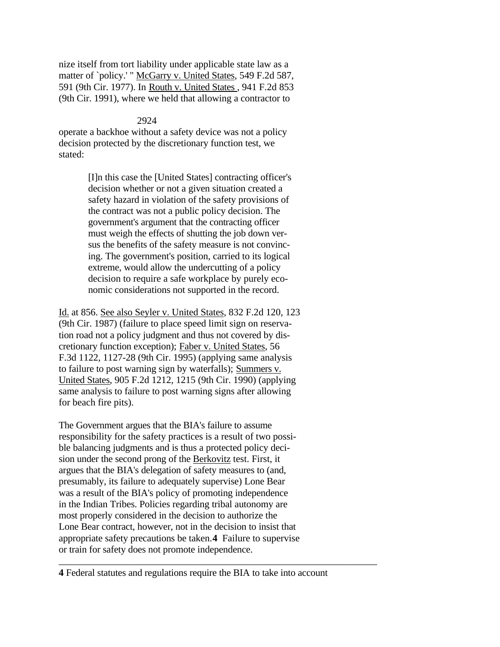nize itself from tort liability under applicable state law as a matter of `policy.' " McGarry v. United States, 549 F.2d 587, 591 (9th Cir. 1977). In Routh v. United States , 941 F.2d 853 (9th Cir. 1991), where we held that allowing a contractor to

## 2924

operate a backhoe without a safety device was not a policy decision protected by the discretionary function test, we stated:

> [I]n this case the [United States] contracting officer's decision whether or not a given situation created a safety hazard in violation of the safety provisions of the contract was not a public policy decision. The government's argument that the contracting officer must weigh the effects of shutting the job down versus the benefits of the safety measure is not convincing. The government's position, carried to its logical extreme, would allow the undercutting of a policy decision to require a safe workplace by purely economic considerations not supported in the record.

Id. at 856. See also Seyler v. United States, 832 F.2d 120, 123 (9th Cir. 1987) (failure to place speed limit sign on reservation road not a policy judgment and thus not covered by discretionary function exception); Faber v. United States, 56 F.3d 1122, 1127-28 (9th Cir. 1995) (applying same analysis to failure to post warning sign by waterfalls); Summers v. United States, 905 F.2d 1212, 1215 (9th Cir. 1990) (applying same analysis to failure to post warning signs after allowing for beach fire pits).

The Government argues that the BIA's failure to assume responsibility for the safety practices is a result of two possible balancing judgments and is thus a protected policy decision under the second prong of the Berkovitz test. First, it argues that the BIA's delegation of safety measures to (and, presumably, its failure to adequately supervise) Lone Bear was a result of the BIA's policy of promoting independence in the Indian Tribes. Policies regarding tribal autonomy are most properly considered in the decision to authorize the Lone Bear contract, however, not in the decision to insist that appropriate safety precautions be taken.**4** Failure to supervise or train for safety does not promote independence.

**4** Federal statutes and regulations require the BIA to take into account

\_\_\_\_\_\_\_\_\_\_\_\_\_\_\_\_\_\_\_\_\_\_\_\_\_\_\_\_\_\_\_\_\_\_\_\_\_\_\_\_\_\_\_\_\_\_\_\_\_\_\_\_\_\_\_\_\_\_\_\_\_\_\_\_\_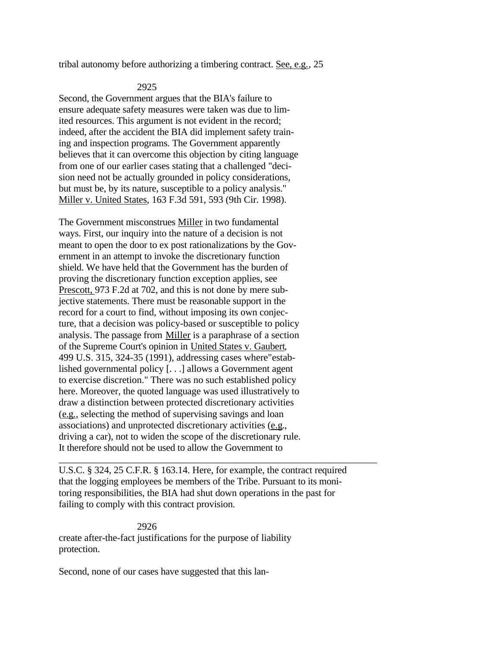tribal autonomy before authorizing a timbering contract. See, e.g., 25

### 2925

Second, the Government argues that the BIA's failure to ensure adequate safety measures were taken was due to limited resources. This argument is not evident in the record; indeed, after the accident the BIA did implement safety training and inspection programs. The Government apparently believes that it can overcome this objection by citing language from one of our earlier cases stating that a challenged "decision need not be actually grounded in policy considerations, but must be, by its nature, susceptible to a policy analysis." Miller v. United States, 163 F.3d 591, 593 (9th Cir. 1998).

The Government misconstrues Miller in two fundamental ways. First, our inquiry into the nature of a decision is not meant to open the door to ex post rationalizations by the Government in an attempt to invoke the discretionary function shield. We have held that the Government has the burden of proving the discretionary function exception applies, see Prescott, 973 F.2d at 702, and this is not done by mere subjective statements. There must be reasonable support in the record for a court to find, without imposing its own conjecture, that a decision was policy-based or susceptible to policy analysis. The passage from Miller is a paraphrase of a section of the Supreme Court's opinion in United States v. Gaubert, 499 U.S. 315, 324-35 (1991), addressing cases where"established governmental policy [. . .] allows a Government agent to exercise discretion." There was no such established policy here. Moreover, the quoted language was used illustratively to draw a distinction between protected discretionary activities (e.g., selecting the method of supervising savings and loan associations) and unprotected discretionary activities (e.g., driving a car), not to widen the scope of the discretionary rule. It therefore should not be used to allow the Government to

U.S.C. § 324, 25 C.F.R. § 163.14. Here, for example, the contract required that the logging employees be members of the Tribe. Pursuant to its monitoring responsibilities, the BIA had shut down operations in the past for failing to comply with this contract provision.

\_\_\_\_\_\_\_\_\_\_\_\_\_\_\_\_\_\_\_\_\_\_\_\_\_\_\_\_\_\_\_\_\_\_\_\_\_\_\_\_\_\_\_\_\_\_\_\_\_\_\_\_\_\_\_\_\_\_\_\_\_\_\_\_\_

 2926 create after-the-fact justifications for the purpose of liability protection.

Second, none of our cases have suggested that this lan-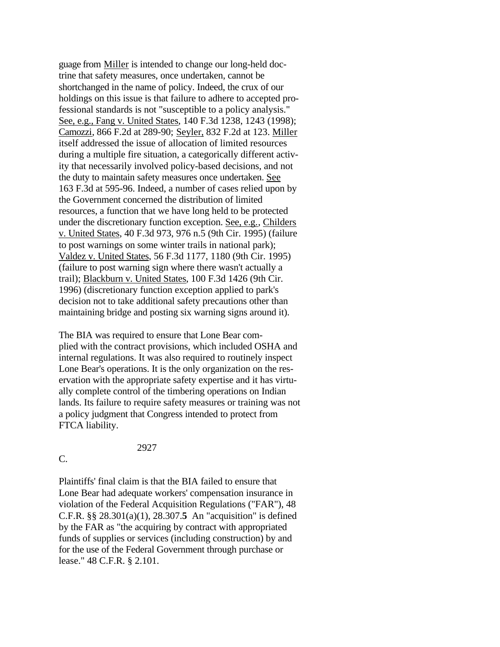guage from Miller is intended to change our long-held doctrine that safety measures, once undertaken, cannot be shortchanged in the name of policy. Indeed, the crux of our holdings on this issue is that failure to adhere to accepted professional standards is not "susceptible to a policy analysis." See, e.g., Fang v. United States, 140 F.3d 1238, 1243 (1998); Camozzi, 866 F.2d at 289-90; Seyler, 832 F.2d at 123. Miller itself addressed the issue of allocation of limited resources during a multiple fire situation, a categorically different activity that necessarily involved policy-based decisions, and not the duty to maintain safety measures once undertaken. See 163 F.3d at 595-96. Indeed, a number of cases relied upon by the Government concerned the distribution of limited resources, a function that we have long held to be protected under the discretionary function exception. See, e.g., Childers v. United States, 40 F.3d 973, 976 n.5 (9th Cir. 1995) (failure to post warnings on some winter trails in national park); Valdez v. United States, 56 F.3d 1177, 1180 (9th Cir. 1995) (failure to post warning sign where there wasn't actually a trail); Blackburn v. United States, 100 F.3d 1426 (9th Cir. 1996) (discretionary function exception applied to park's decision not to take additional safety precautions other than maintaining bridge and posting six warning signs around it).

The BIA was required to ensure that Lone Bear complied with the contract provisions, which included OSHA and internal regulations. It was also required to routinely inspect Lone Bear's operations. It is the only organization on the reservation with the appropriate safety expertise and it has virtually complete control of the timbering operations on Indian lands. Its failure to require safety measures or training was not a policy judgment that Congress intended to protect from FTCA liability.

### 2927

C.

Plaintiffs' final claim is that the BIA failed to ensure that Lone Bear had adequate workers' compensation insurance in violation of the Federal Acquisition Regulations ("FAR"), 48 C.F.R. §§ 28.301(a)(1), 28.307.**5** An "acquisition" is defined by the FAR as "the acquiring by contract with appropriated funds of supplies or services (including construction) by and for the use of the Federal Government through purchase or lease." 48 C.F.R. § 2.101.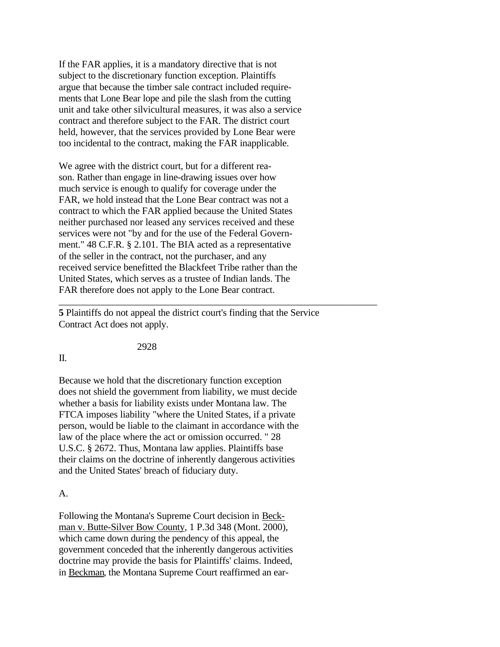If the FAR applies, it is a mandatory directive that is not subject to the discretionary function exception. Plaintiffs argue that because the timber sale contract included requirements that Lone Bear lope and pile the slash from the cutting unit and take other silvicultural measures, it was also a service contract and therefore subject to the FAR. The district court held, however, that the services provided by Lone Bear were too incidental to the contract, making the FAR inapplicable.

We agree with the district court, but for a different reason. Rather than engage in line-drawing issues over how much service is enough to qualify for coverage under the FAR, we hold instead that the Lone Bear contract was not a contract to which the FAR applied because the United States neither purchased nor leased any services received and these services were not "by and for the use of the Federal Government." 48 C.F.R. § 2.101. The BIA acted as a representative of the seller in the contract, not the purchaser, and any received service benefitted the Blackfeet Tribe rather than the United States, which serves as a trustee of Indian lands. The FAR therefore does not apply to the Lone Bear contract.

**5** Plaintiffs do not appeal the district court's finding that the Service Contract Act does not apply.

\_\_\_\_\_\_\_\_\_\_\_\_\_\_\_\_\_\_\_\_\_\_\_\_\_\_\_\_\_\_\_\_\_\_\_\_\_\_\_\_\_\_\_\_\_\_\_\_\_\_\_\_\_\_\_\_\_\_\_\_\_\_\_\_\_

### II.

Because we hold that the discretionary function exception does not shield the government from liability, we must decide whether a basis for liability exists under Montana law. The FTCA imposes liability "where the United States, if a private person, would be liable to the claimant in accordance with the law of the place where the act or omission occurred. " 28 U.S.C. § 2672. Thus, Montana law applies. Plaintiffs base their claims on the doctrine of inherently dangerous activities and the United States' breach of fiduciary duty.

2928

### A.

Following the Montana's Supreme Court decision in Beckman v. Butte-Silver Bow County, 1 P.3d 348 (Mont. 2000), which came down during the pendency of this appeal, the government conceded that the inherently dangerous activities doctrine may provide the basis for Plaintiffs' claims. Indeed, in Beckman, the Montana Supreme Court reaffirmed an ear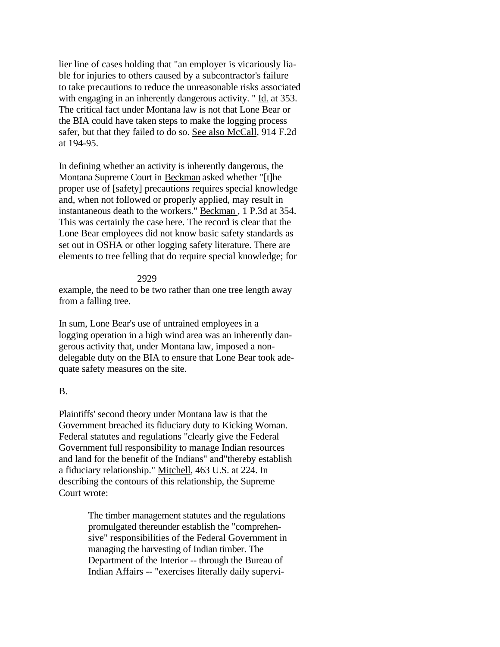lier line of cases holding that "an employer is vicariously liable for injuries to others caused by a subcontractor's failure to take precautions to reduce the unreasonable risks associated with engaging in an inherently dangerous activity. " Id. at 353. The critical fact under Montana law is not that Lone Bear or the BIA could have taken steps to make the logging process safer, but that they failed to do so. See also McCall, 914 F.2d at 194-95.

In defining whether an activity is inherently dangerous, the Montana Supreme Court in Beckman asked whether "[t]he proper use of [safety] precautions requires special knowledge and, when not followed or properly applied, may result in instantaneous death to the workers." Beckman , 1 P.3d at 354. This was certainly the case here. The record is clear that the Lone Bear employees did not know basic safety standards as set out in OSHA or other logging safety literature. There are elements to tree felling that do require special knowledge; for

### 2929

example, the need to be two rather than one tree length away from a falling tree.

In sum, Lone Bear's use of untrained employees in a logging operation in a high wind area was an inherently dangerous activity that, under Montana law, imposed a nondelegable duty on the BIA to ensure that Lone Bear took adequate safety measures on the site.

### B.

Plaintiffs' second theory under Montana law is that the Government breached its fiduciary duty to Kicking Woman. Federal statutes and regulations "clearly give the Federal Government full responsibility to manage Indian resources and land for the benefit of the Indians" and"thereby establish a fiduciary relationship." Mitchell, 463 U.S. at 224. In describing the contours of this relationship, the Supreme Court wrote:

> The timber management statutes and the regulations promulgated thereunder establish the "comprehensive" responsibilities of the Federal Government in managing the harvesting of Indian timber. The Department of the Interior -- through the Bureau of Indian Affairs -- "exercises literally daily supervi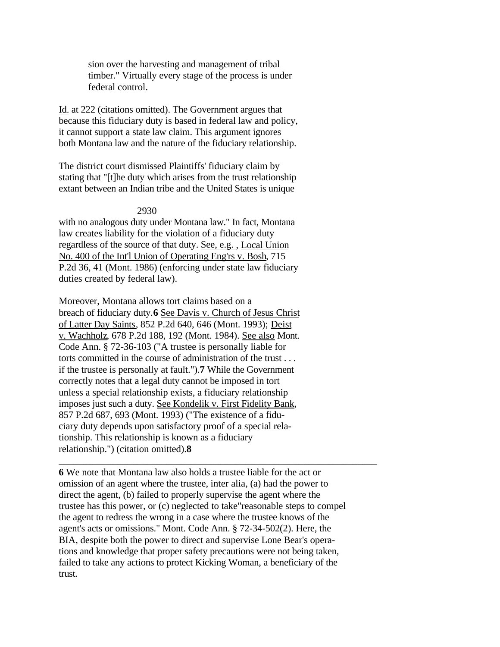sion over the harvesting and management of tribal timber." Virtually every stage of the process is under federal control.

Id. at 222 (citations omitted). The Government argues that because this fiduciary duty is based in federal law and policy, it cannot support a state law claim. This argument ignores both Montana law and the nature of the fiduciary relationship.

The district court dismissed Plaintiffs' fiduciary claim by stating that "[t]he duty which arises from the trust relationship extant between an Indian tribe and the United States is unique

2930

with no analogous duty under Montana law." In fact, Montana law creates liability for the violation of a fiduciary duty regardless of the source of that duty. See, e.g. , Local Union No. 400 of the Int'l Union of Operating Eng'rs v. Bosh, 715 P.2d 36, 41 (Mont. 1986) (enforcing under state law fiduciary duties created by federal law).

Moreover, Montana allows tort claims based on a breach of fiduciary duty.**6** See Davis v. Church of Jesus Christ of Latter Day Saints, 852 P.2d 640, 646 (Mont. 1993); Deist v. Wachholz, 678 P.2d 188, 192 (Mont. 1984). See also Mont. Code Ann. § 72-36-103 ("A trustee is personally liable for torts committed in the course of administration of the trust . . . if the trustee is personally at fault.").**7** While the Government correctly notes that a legal duty cannot be imposed in tort unless a special relationship exists, a fiduciary relationship imposes just such a duty. See Kondelik v. First Fidelity Bank, 857 P.2d 687, 693 (Mont. 1993) ("The existence of a fiduciary duty depends upon satisfactory proof of a special relationship. This relationship is known as a fiduciary relationship.") (citation omitted).**8** 

**6** We note that Montana law also holds a trustee liable for the act or omission of an agent where the trustee, inter alia, (a) had the power to direct the agent, (b) failed to properly supervise the agent where the trustee has this power, or (c) neglected to take"reasonable steps to compel the agent to redress the wrong in a case where the trustee knows of the agent's acts or omissions." Mont. Code Ann. § 72-34-502(2). Here, the BIA, despite both the power to direct and supervise Lone Bear's operations and knowledge that proper safety precautions were not being taken, failed to take any actions to protect Kicking Woman, a beneficiary of the trust.

\_\_\_\_\_\_\_\_\_\_\_\_\_\_\_\_\_\_\_\_\_\_\_\_\_\_\_\_\_\_\_\_\_\_\_\_\_\_\_\_\_\_\_\_\_\_\_\_\_\_\_\_\_\_\_\_\_\_\_\_\_\_\_\_\_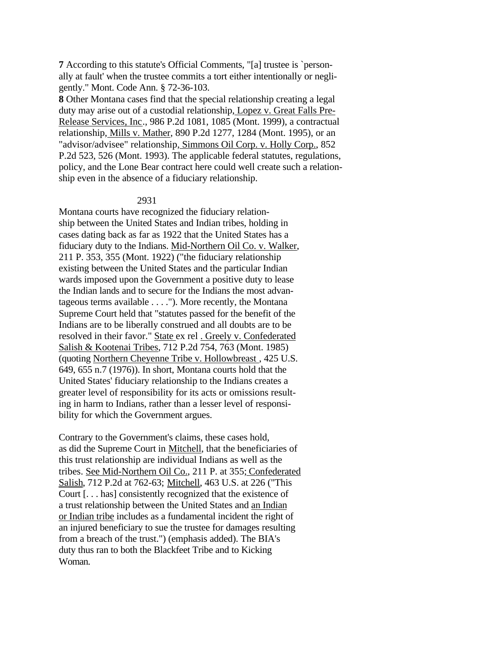**7** According to this statute's Official Comments, "[a] trustee is `personally at fault' when the trustee commits a tort either intentionally or negligently." Mont. Code Ann. § 72-36-103.

**8** Other Montana cases find that the special relationship creating a legal duty may arise out of a custodial relationship, Lopez v. Great Falls Pre-Release Services, Inc., 986 P.2d 1081, 1085 (Mont. 1999), a contractual relationship, Mills v. Mather, 890 P.2d 1277, 1284 (Mont. 1995), or an "advisor/advisee" relationship, Simmons Oil Corp. v. Holly Corp., 852 P.2d 523, 526 (Mont. 1993). The applicable federal statutes, regulations, policy, and the Lone Bear contract here could well create such a relationship even in the absence of a fiduciary relationship.

#### 2931

Montana courts have recognized the fiduciary relationship between the United States and Indian tribes, holding in cases dating back as far as 1922 that the United States has a fiduciary duty to the Indians. Mid-Northern Oil Co. v. Walker, 211 P. 353, 355 (Mont. 1922) ("the fiduciary relationship existing between the United States and the particular Indian wards imposed upon the Government a positive duty to lease the Indian lands and to secure for the Indians the most advantageous terms available . . . ."). More recently, the Montana Supreme Court held that "statutes passed for the benefit of the Indians are to be liberally construed and all doubts are to be resolved in their favor." State ex rel . Greely v. Confederated Salish & Kootenai Tribes, 712 P.2d 754, 763 (Mont. 1985) (quoting Northern Cheyenne Tribe v. Hollowbreast , 425 U.S. 649, 655 n.7 (1976)). In short, Montana courts hold that the United States' fiduciary relationship to the Indians creates a greater level of responsibility for its acts or omissions resulting in harm to Indians, rather than a lesser level of responsibility for which the Government argues.

Contrary to the Government's claims, these cases hold, as did the Supreme Court in Mitchell, that the beneficiaries of this trust relationship are individual Indians as well as the tribes. See Mid-Northern Oil Co., 211 P. at 355; Confederated Salish, 712 P.2d at 762-63; Mitchell, 463 U.S. at 226 ("This Court [. . . has] consistently recognized that the existence of a trust relationship between the United States and an Indian or Indian tribe includes as a fundamental incident the right of an injured beneficiary to sue the trustee for damages resulting from a breach of the trust.") (emphasis added). The BIA's duty thus ran to both the Blackfeet Tribe and to Kicking Woman.